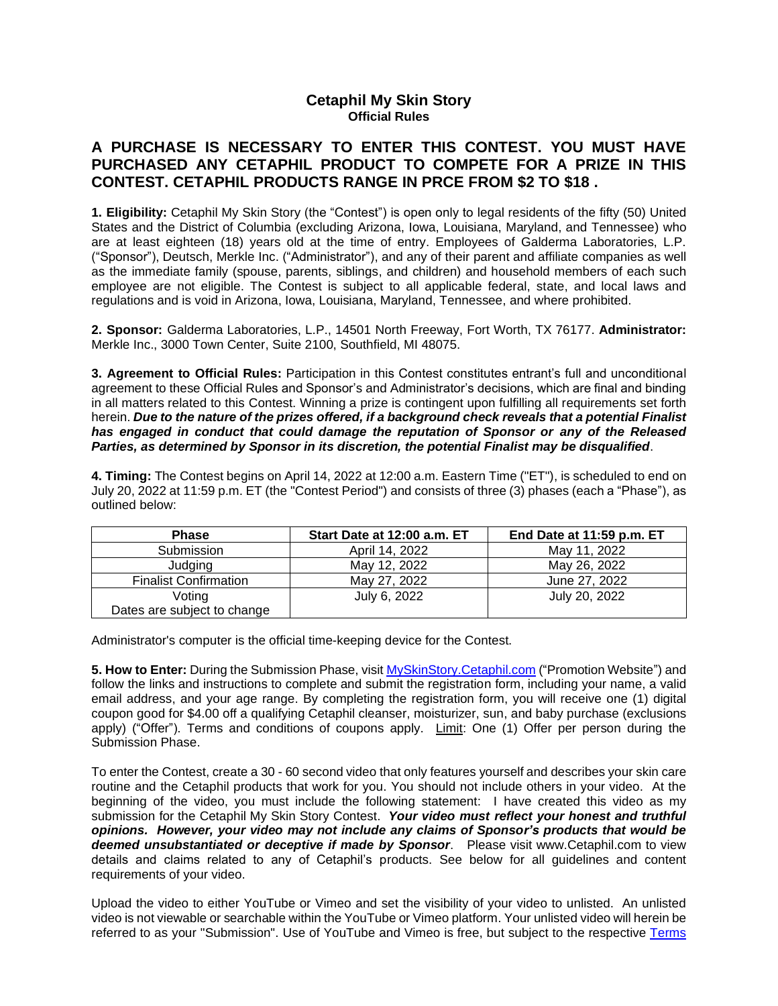## **Cetaphil My Skin Story Official Rules**

## **A PURCHASE IS NECESSARY TO ENTER THIS CONTEST. YOU MUST HAVE PURCHASED ANY CETAPHIL PRODUCT TO COMPETE FOR A PRIZE IN THIS CONTEST. CETAPHIL PRODUCTS RANGE IN PRCE FROM \$2 TO \$18 .**

**1. Eligibility:** Cetaphil My Skin Story (the "Contest") is open only to legal residents of the fifty (50) United States and the District of Columbia (excluding Arizona, Iowa, Louisiana, Maryland, and Tennessee) who are at least eighteen (18) years old at the time of entry. Employees of Galderma Laboratories, L.P. ("Sponsor"), Deutsch, Merkle Inc. ("Administrator"), and any of their parent and affiliate companies as well as the immediate family (spouse, parents, siblings, and children) and household members of each such employee are not eligible. The Contest is subject to all applicable federal, state, and local laws and regulations and is void in Arizona, Iowa, Louisiana, Maryland, Tennessee, and where prohibited.

**2. Sponsor:** Galderma Laboratories, L.P., 14501 North Freeway, Fort Worth, TX 76177. **Administrator:** Merkle Inc., 3000 Town Center, Suite 2100, Southfield, MI 48075.

**3. Agreement to Official Rules:** Participation in this Contest constitutes entrant's full and unconditional agreement to these Official Rules and Sponsor's and Administrator's decisions, which are final and binding in all matters related to this Contest. Winning a prize is contingent upon fulfilling all requirements set forth herein. *Due to the nature of the prizes offered, if a background check reveals that a potential Finalist has engaged in conduct that could damage the reputation of Sponsor or any of the Released Parties, as determined by Sponsor in its discretion, the potential Finalist may be disqualified*.

**4. Timing:** The Contest begins on April 14, 2022 at 12:00 a.m. Eastern Time ("ET"), is scheduled to end on July 20, 2022 at 11:59 p.m. ET (the "Contest Period") and consists of three (3) phases (each a "Phase"), as outlined below:

| <b>Phase</b>                          | Start Date at 12:00 a.m. ET | End Date at 11:59 p.m. ET |
|---------------------------------------|-----------------------------|---------------------------|
| Submission                            | April 14, 2022              | May 11, 2022              |
| Judging                               | May 12, 2022                | May 26, 2022              |
| <b>Finalist Confirmation</b>          | May 27, 2022                | June 27, 2022             |
| Voting<br>Dates are subject to change | July 6, 2022                | July 20, 2022             |

Administrator's computer is the official time-keeping device for the Contest.

**5. How to Enter:** During the Submission Phase, visit <MySkinStory.Cetaphil.com> ("Promotion Website") and follow the links and instructions to complete and submit the registration form, including your name, a valid email address, and your age range. By completing the registration form, you will receive one (1) digital coupon good for \$4.00 off a qualifying Cetaphil cleanser, moisturizer, sun, and baby purchase (exclusions apply) ("Offer"). Terms and conditions of coupons apply. Limit: One (1) Offer per person during the Submission Phase.

To enter the Contest, create a 30 - 60 second video that only features yourself and describes your skin care routine and the Cetaphil products that work for you. You should not include others in your video. At the beginning of the video, you must include the following statement: I have created this video as my submission for the Cetaphil My Skin Story Contest. *Your video must reflect your honest and truthful opinions. However, your video may not include any claims of Sponsor's products that would be deemed unsubstantiated or deceptive if made by Sponsor*. Please visit www.Cetaphil.com to view details and claims related to any of Cetaphil's products. See below for all guidelines and content requirements of your video.

Upload the video to either YouTube or Vimeo and set the visibility of your video to unlisted. An unlisted video is not viewable or searchable within the YouTube or Vimeo platform. Your unlisted video will herein be referred to as your "Submission". Use of YouTube and Vimeo is free, but subject to the respective [Terms](https://www.youtube.com/static?template=terms)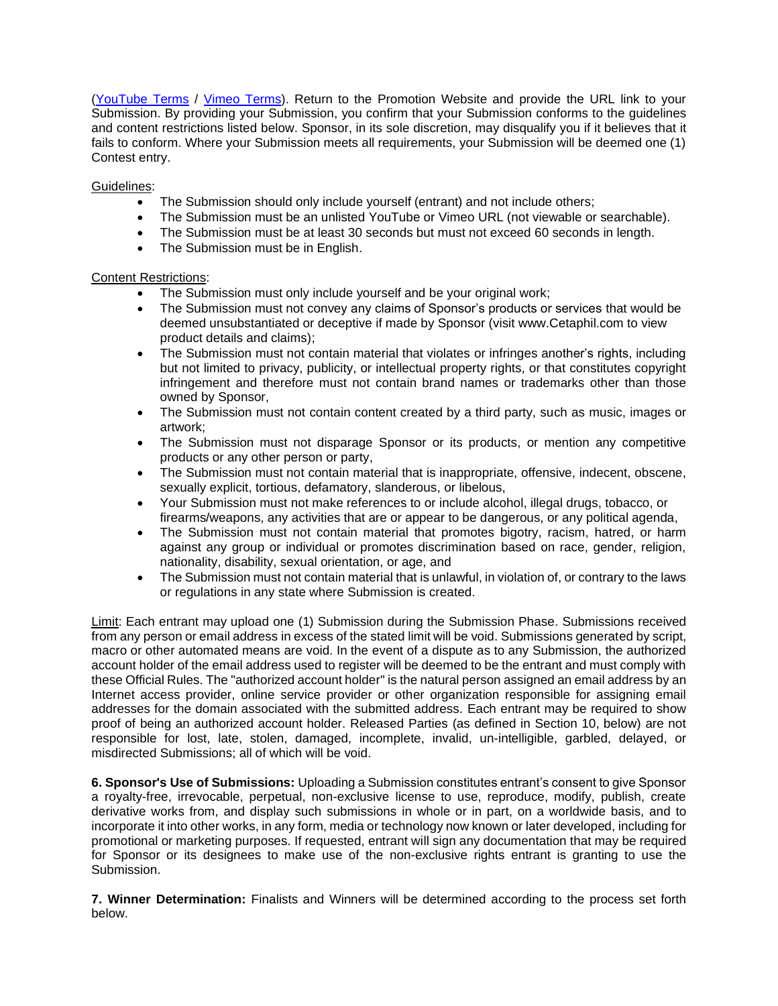[\(YouTube Terms](https://www.youtube.com/static?template=terms) / [Vimeo Terms\)](https://vimeo.com/terms). Return to the Promotion Website and provide the URL link to your Submission. By providing your Submission, you confirm that your Submission conforms to the guidelines and content restrictions listed below. Sponsor, in its sole discretion, may disqualify you if it believes that it fails to conform. Where your Submission meets all requirements, your Submission will be deemed one (1) Contest entry.

## Guidelines:

- The Submission should only include yourself (entrant) and not include others;
- The Submission must be an unlisted YouTube or Vimeo URL (not viewable or searchable).
- The Submission must be at least 30 seconds but must not exceed 60 seconds in length.
- The Submission must be in English.

## Content Restrictions:

- The Submission must only include yourself and be your original work;
- The Submission must not convey any claims of Sponsor's products or services that would be deemed unsubstantiated or deceptive if made by Sponsor (visit www.Cetaphil.com to view product details and claims);
- The Submission must not contain material that violates or infringes another's rights, including but not limited to privacy, publicity, or intellectual property rights, or that constitutes copyright infringement and therefore must not contain brand names or trademarks other than those owned by Sponsor,
- The Submission must not contain content created by a third party, such as music, images or artwork;
- The Submission must not disparage Sponsor or its products, or mention any competitive products or any other person or party,
- The Submission must not contain material that is inappropriate, offensive, indecent, obscene, sexually explicit, tortious, defamatory, slanderous, or libelous,
- Your Submission must not make references to or include alcohol, illegal drugs, tobacco, or firearms/weapons, any activities that are or appear to be dangerous, or any political agenda,
- The Submission must not contain material that promotes bigotry, racism, hatred, or harm against any group or individual or promotes discrimination based on race, gender, religion, nationality, disability, sexual orientation, or age, and
- The Submission must not contain material that is unlawful, in violation of, or contrary to the laws or regulations in any state where Submission is created.

Limit: Each entrant may upload one (1) Submission during the Submission Phase. Submissions received from any person or email address in excess of the stated limit will be void. Submissions generated by script, macro or other automated means are void. In the event of a dispute as to any Submission, the authorized account holder of the email address used to register will be deemed to be the entrant and must comply with these Official Rules. The "authorized account holder" is the natural person assigned an email address by an Internet access provider, online service provider or other organization responsible for assigning email addresses for the domain associated with the submitted address. Each entrant may be required to show proof of being an authorized account holder. Released Parties (as defined in Section 10, below) are not responsible for lost, late, stolen, damaged, incomplete, invalid, un-intelligible, garbled, delayed, or misdirected Submissions; all of which will be void.

**6. Sponsor's Use of Submissions:** Uploading a Submission constitutes entrant's consent to give Sponsor a royalty-free, irrevocable, perpetual, non-exclusive license to use, reproduce, modify, publish, create derivative works from, and display such submissions in whole or in part, on a worldwide basis, and to incorporate it into other works, in any form, media or technology now known or later developed, including for promotional or marketing purposes. If requested, entrant will sign any documentation that may be required for Sponsor or its designees to make use of the non-exclusive rights entrant is granting to use the Submission.

**7. Winner Determination:** Finalists and Winners will be determined according to the process set forth below.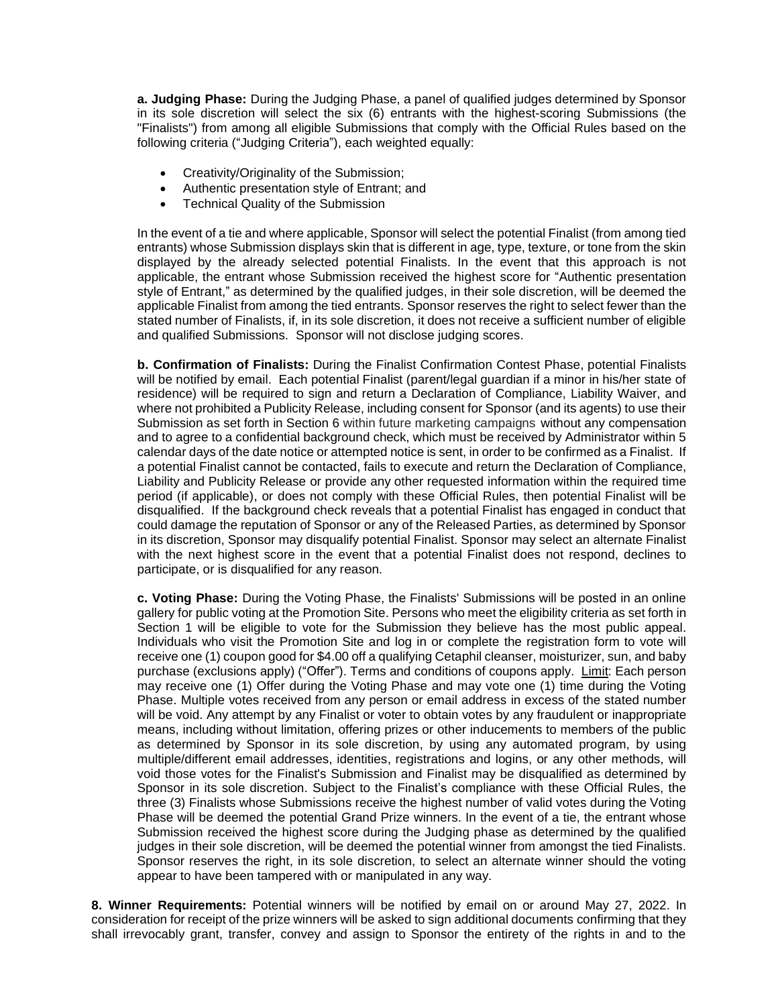**a. Judging Phase:** During the Judging Phase, a panel of qualified judges determined by Sponsor in its sole discretion will select the six (6) entrants with the highest-scoring Submissions (the "Finalists") from among all eligible Submissions that comply with the Official Rules based on the following criteria ("Judging Criteria"), each weighted equally:

- Creativity/Originality of the Submission;
- Authentic presentation style of Entrant; and
- Technical Quality of the Submission

In the event of a tie and where applicable, Sponsor will select the potential Finalist (from among tied entrants) whose Submission displays skin that is different in age, type, texture, or tone from the skin displayed by the already selected potential Finalists. In the event that this approach is not applicable, the entrant whose Submission received the highest score for "Authentic presentation style of Entrant," as determined by the qualified judges, in their sole discretion, will be deemed the applicable Finalist from among the tied entrants. Sponsor reserves the right to select fewer than the stated number of Finalists, if, in its sole discretion, it does not receive a sufficient number of eligible and qualified Submissions. Sponsor will not disclose judging scores.

**b. Confirmation of Finalists:** During the Finalist Confirmation Contest Phase, potential Finalists will be notified by email. Each potential Finalist (parent/legal guardian if a minor in his/her state of residence) will be required to sign and return a Declaration of Compliance, Liability Waiver, and where not prohibited a Publicity Release, including consent for Sponsor (and its agents) to use their Submission as set forth in Section 6 within future marketing campaigns without any compensation and to agree to a confidential background check, which must be received by Administrator within 5 calendar days of the date notice or attempted notice is sent, in order to be confirmed as a Finalist. If a potential Finalist cannot be contacted, fails to execute and return the Declaration of Compliance, Liability and Publicity Release or provide any other requested information within the required time period (if applicable), or does not comply with these Official Rules, then potential Finalist will be disqualified. If the background check reveals that a potential Finalist has engaged in conduct that could damage the reputation of Sponsor or any of the Released Parties, as determined by Sponsor in its discretion, Sponsor may disqualify potential Finalist. Sponsor may select an alternate Finalist with the next highest score in the event that a potential Finalist does not respond, declines to participate, or is disqualified for any reason.

**c. Voting Phase:** During the Voting Phase, the Finalists' Submissions will be posted in an online gallery for public voting at the Promotion Site. Persons who meet the eligibility criteria as set forth in Section 1 will be eligible to vote for the Submission they believe has the most public appeal. Individuals who visit the Promotion Site and log in or complete the registration form to vote will receive one (1) coupon good for \$4.00 off a qualifying Cetaphil cleanser, moisturizer, sun, and baby purchase (exclusions apply) ("Offer"). Terms and conditions of coupons apply. Limit: Each person may receive one (1) Offer during the Voting Phase and may vote one (1) time during the Voting Phase. Multiple votes received from any person or email address in excess of the stated number will be void. Any attempt by any Finalist or voter to obtain votes by any fraudulent or inappropriate means, including without limitation, offering prizes or other inducements to members of the public as determined by Sponsor in its sole discretion, by using any automated program, by using multiple/different email addresses, identities, registrations and logins, or any other methods, will void those votes for the Finalist's Submission and Finalist may be disqualified as determined by Sponsor in its sole discretion. Subject to the Finalist's compliance with these Official Rules, the three (3) Finalists whose Submissions receive the highest number of valid votes during the Voting Phase will be deemed the potential Grand Prize winners. In the event of a tie, the entrant whose Submission received the highest score during the Judging phase as determined by the qualified judges in their sole discretion, will be deemed the potential winner from amongst the tied Finalists. Sponsor reserves the right, in its sole discretion, to select an alternate winner should the voting appear to have been tampered with or manipulated in any way.

**8. Winner Requirements:** Potential winners will be notified by email on or around May 27, 2022. In consideration for receipt of the prize winners will be asked to sign additional documents confirming that they shall irrevocably grant, transfer, convey and assign to Sponsor the entirety of the rights in and to the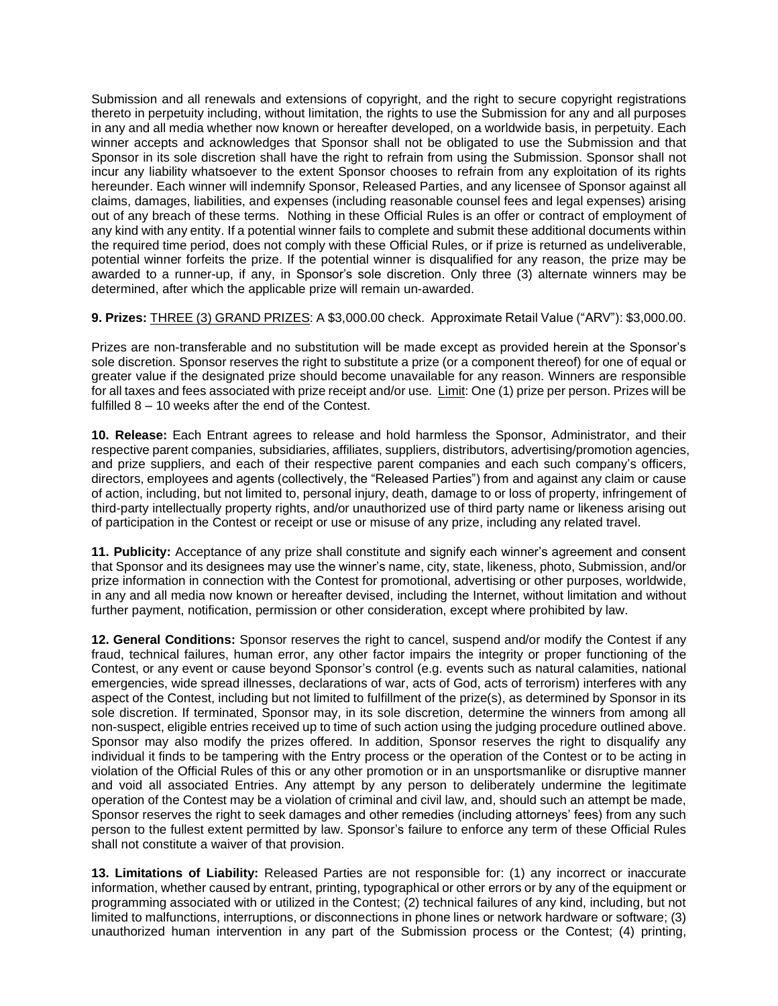Submission and all renewals and extensions of copyright, and the right to secure copyright registrations thereto in perpetuity including, without limitation, the rights to use the Submission for any and all purposes in any and all media whether now known or hereafter developed, on a worldwide basis, in perpetuity. Each winner accepts and acknowledges that Sponsor shall not be obligated to use the Submission and that Sponsor in its sole discretion shall have the right to refrain from using the Submission. Sponsor shall not incur any liability whatsoever to the extent Sponsor chooses to refrain from any exploitation of its rights hereunder. Each winner will indemnify Sponsor, Released Parties, and any licensee of Sponsor against all claims, damages, liabilities, and expenses (including reasonable counsel fees and legal expenses) arising out of any breach of these terms. Nothing in these Official Rules is an offer or contract of employment of any kind with any entity. If a potential winner fails to complete and submit these additional documents within the required time period, does not comply with these Official Rules, or if prize is returned as undeliverable, potential winner forfeits the prize. If the potential winner is disqualified for any reason, the prize may be awarded to a runner-up, if any, in Sponsor's sole discretion. Only three (3) alternate winners may be determined, after which the applicable prize will remain un-awarded.

**9. Prizes:** THREE (3) GRAND PRIZES: A \$3,000.00 check. Approximate Retail Value ("ARV"): \$3,000.00.

Prizes are non-transferable and no substitution will be made except as provided herein at the Sponsor's sole discretion. Sponsor reserves the right to substitute a prize (or a component thereof) for one of equal or greater value if the designated prize should become unavailable for any reason. Winners are responsible for all taxes and fees associated with prize receipt and/or use. Limit: One (1) prize per person. Prizes will be fulfilled 8 – 10 weeks after the end of the Contest.

**10. Release:** Each Entrant agrees to release and hold harmless the Sponsor, Administrator, and their respective parent companies, subsidiaries, affiliates, suppliers, distributors, advertising/promotion agencies, and prize suppliers, and each of their respective parent companies and each such company's officers, directors, employees and agents (collectively, the "Released Parties") from and against any claim or cause of action, including, but not limited to, personal injury, death, damage to or loss of property, infringement of third-party intellectually property rights, and/or unauthorized use of third party name or likeness arising out of participation in the Contest or receipt or use or misuse of any prize, including any related travel.

**11. Publicity:** Acceptance of any prize shall constitute and signify each winner's agreement and consent that Sponsor and its designees may use the winner's name, city, state, likeness, photo, Submission, and/or prize information in connection with the Contest for promotional, advertising or other purposes, worldwide, in any and all media now known or hereafter devised, including the Internet, without limitation and without further payment, notification, permission or other consideration, except where prohibited by law.

**12. General Conditions:** Sponsor reserves the right to cancel, suspend and/or modify the Contest if any fraud, technical failures, human error, any other factor impairs the integrity or proper functioning of the Contest, or any event or cause beyond Sponsor's control (e.g. events such as natural calamities, national emergencies, wide spread illnesses, declarations of war, acts of God, acts of terrorism) interferes with any aspect of the Contest, including but not limited to fulfillment of the prize(s), as determined by Sponsor in its sole discretion. If terminated, Sponsor may, in its sole discretion, determine the winners from among all non-suspect, eligible entries received up to time of such action using the judging procedure outlined above. Sponsor may also modify the prizes offered. In addition, Sponsor reserves the right to disqualify any individual it finds to be tampering with the Entry process or the operation of the Contest or to be acting in violation of the Official Rules of this or any other promotion or in an unsportsmanlike or disruptive manner and void all associated Entries. Any attempt by any person to deliberately undermine the legitimate operation of the Contest may be a violation of criminal and civil law, and, should such an attempt be made, Sponsor reserves the right to seek damages and other remedies (including attorneys' fees) from any such person to the fullest extent permitted by law. Sponsor's failure to enforce any term of these Official Rules shall not constitute a waiver of that provision.

**13. Limitations of Liability:** Released Parties are not responsible for: (1) any incorrect or inaccurate information, whether caused by entrant, printing, typographical or other errors or by any of the equipment or programming associated with or utilized in the Contest; (2) technical failures of any kind, including, but not limited to malfunctions, interruptions, or disconnections in phone lines or network hardware or software; (3) unauthorized human intervention in any part of the Submission process or the Contest; (4) printing,